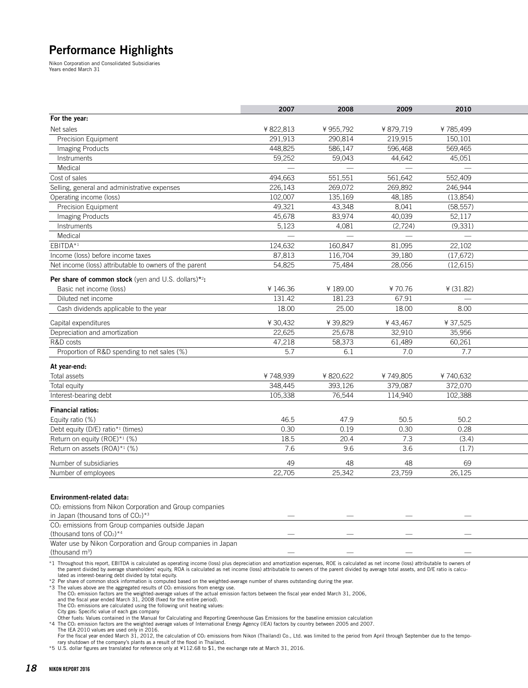# Performance Highlights

Nikon Corporation and Consolidated Subsidiaries Years ended March 31

| For the year:                                          |                          |                  |                          |                                 |
|--------------------------------------------------------|--------------------------|------------------|--------------------------|---------------------------------|
| Net sales                                              |                          |                  |                          |                                 |
|                                                        | ¥822,813                 | ¥955,792         | ¥879,719                 | ¥785,499                        |
| Precision Equipment                                    | 291,913                  | 290,814          | 219,915                  | 150,101                         |
| Imaging Products                                       | 448,825                  | 586,147          | 596,468                  | 569,465                         |
| Instruments                                            | 59,252                   | 59,043           | 44,642                   | 45,051                          |
| Medical                                                | $\overline{\phantom{a}}$ | $\hspace{0.1cm}$ | $\overline{\phantom{a}}$ | $\hspace{0.1mm}-\hspace{0.1mm}$ |
| Cost of sales                                          | 494,663                  | 551,551          | 561,642                  | 552,409                         |
| Selling, general and administrative expenses           | 226,143                  | 269,072          | 269,892                  | 246,944                         |
| Operating income (loss)                                | 102,007                  | 135,169          | 48,185                   | (13,854)                        |
| Precision Equipment                                    | 49,321                   | 43,348           | 8,041                    | (58, 557)                       |
| Imaging Products                                       | 45,678                   | 83,974           | 40,039                   | 52,117                          |
| Instruments                                            | 5,123                    | 4,081            | (2,724)                  | (9, 331)                        |
| Medical                                                | $\overline{\phantom{a}}$ | $\hspace{0.1mm}$ | $\overline{\phantom{a}}$ | $\overline{\phantom{a}}$        |
| $EBITDA*1$                                             | 124,632                  | 160,847          | 81,095                   | 22,102                          |
| Income (loss) before income taxes                      | 87,813                   | 116,704          | 39,180                   | (17, 672)                       |
| Net income (loss) attributable to owners of the parent | 54,825                   | 75,484           | 28,056                   | (12, 615)                       |
|                                                        |                          |                  |                          |                                 |
| Per share of common stock (yen and U.S. dollars)*2:    |                          |                  |                          |                                 |
| Basic net income (loss)                                | ¥146.36                  | ¥189.00          | ¥70.76                   | 4(31.82)                        |
| Diluted net income                                     | 131.42                   | 181.23           | 67.91                    | $\overline{\phantom{m}}$        |
| Cash dividends applicable to the year                  | 18.00                    | 25.00            | 18.00                    | 8.00                            |
| Capital expenditures                                   | ¥30,432                  | ¥39,829          | ¥43,467                  | ¥ 37,525                        |
| Depreciation and amortization                          | 22,625                   | 25,678           | 32,910                   | 35,956                          |
| R&D costs                                              | 47,218                   | 58,373           | 61,489                   | 60,261                          |
| Proportion of R&D spending to net sales (%)            | 5.7                      | 6.1              | 7.0                      | 7.7                             |
|                                                        |                          |                  |                          |                                 |
| At year-end:                                           |                          |                  |                          |                                 |
| Total assets                                           | ¥748,939                 | ¥820,622         | ¥749,805                 | ¥740,632                        |
| Total equity                                           | 348,445                  | 393,126          | 379,087                  | 372,070                         |
| Interest-bearing debt                                  | 105,338                  | 76,544           | 114,940                  | 102,388                         |
| <b>Financial ratios:</b>                               |                          |                  |                          |                                 |
| Equity ratio (%)                                       | 46.5                     | 47.9             | 50.5                     | 50.2                            |
| Debt equity (D/E) ratio*1 (times)                      | 0.30                     | 0.19             | 0.30                     | 0.28                            |
| Return on equity (ROE)*1 (%)                           | 18.5                     | 20.4             | 7.3                      | (3.4)                           |
| Return on assets (ROA)*1 (%)                           | 7.6                      | 9.6              | $\overline{3.6}$         | (1.7)                           |
|                                                        |                          |                  |                          | 69                              |
| Number of subsidiaries                                 | 49                       | 48               | 48                       |                                 |

#### Environment-related data:

CO2 emissions from Nikon Corporation and Group companies

in Japan (thousand tons of  $CO<sub>2</sub>$ )\*3 CO2 emissions from Group companies outside Japan (thousand tons of CO<sub>2</sub>)\*4  $-$ Water use by Nikon Corporation and Group companies in Japan

(thousand m3) — — — — 2,770 3,026 2,932 2,819 2,488 2,769

\*1 Throughout this report, EBITDA is calculated as operating income (loss) plus depreciation and amortization expenses, ROE is calculated as net income (loss) attributable to owners of<br>-the parent divided by average shareh lated as interest-bearing debt divided by total equity.

\*2 Per share of common stock information is computed based on the weighted-average number of shares outstanding during the year.<br>\*3 The values above are the aggregated results of CO2 emissions from energy use.

The CO2 emission factors are the weighted-average values of the actual emission factors between the fiscal year ended March 31, 2006,<br>and the fiscal year ended March 31, 2008 (fixed for the entire period).<br>The CO2 emission

City gas: Specific value of each gas company<br>Other fuels: Values contained in the Manual for Calculating and Reporting Greenhouse Gas Emissions for the baseline emission calculation<br>^4 The CO2 emission factors are the weig

The IEA 2010 values are used only in 2016.<br>For the fiscal year ended March 31, 2012, the calculation of CO2 emissions from Nikon (Thailand) Co., Ltd. was limited to the period from April through September due to the temporary shutdown of the company's plants as a result of the flood in Thailand.

\*5 U.S. dollar figures are translated for reference only at ¥112.68 to \$1, the exchange rate at March 31, 2016.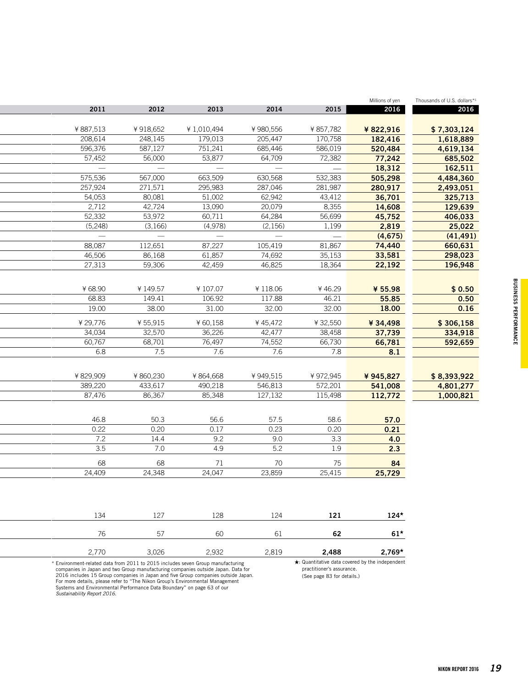\* Environment-related data from 2011 to 2015 includes seven Group manufacturing<br>companies in Japan and two Group manufacturing companies outside Japan. Data for<br>2016 includes 15 Group companies in Japan and five Group comp

practitioner's assurance.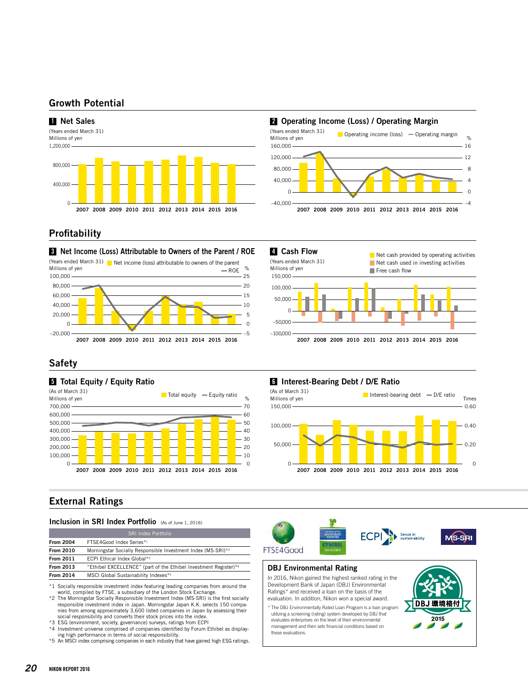# Growth Potential





# **Profitability**

#### **8** Net Income (Loss) Attributable to Owners of the Parent / ROE **1.** Cash Flow





# Safety

#### **T** Total Equity / Equity Ratio 5 Total Equity / Equity Ratio **1996 1997 12: 1998 12: 1998 12: 1999 12: 1999 12: 1999 12: 1999 12: 1999 12: 1999 12: 1999 12: 1999 12: 1999 12: 1999 12: 1999 12: 1999 12: 1999 12: 1999 12: 1999 12: 1999 12: 1999 12: 1999 1**



### (As of March 31)



# External Ratings

#### Inclusion in SRI Index Portfolio (As of June 1, 2016)

|                  | <b>SRI Index Portfolio</b>                                       |  |  |  |  |
|------------------|------------------------------------------------------------------|--|--|--|--|
| <b>From 2004</b> | FTSE4Good Index Series*1                                         |  |  |  |  |
| <b>From 2010</b> | Morningstar Socially Responsible Investment Index (MS-SRI)*2     |  |  |  |  |
| <b>From 2011</b> | ECPI Ethical Index Global* <sup>3</sup>                          |  |  |  |  |
| <b>From 2013</b> | "Ethibel EXCELLENCE" (part of the Ethibel Investment Register)*4 |  |  |  |  |
| <b>From 2014</b> | MSCI Global Sustainability Indexes*5                             |  |  |  |  |

\*1 Socially responsible investment index featuring leading companies from around the

world, compiled by FTSE, a subsidiary of the London Stock Exchange. \*2 The Morningstar Socially Responsible Investment Index (MS-SRI) is the first socially responsible investment index in Japan. Morningstar Japan K.K. selects 150 companies from among approximately 3,600 listed companies in Japan by assessing their social responsibility and converts their stock prices into the index.

- \*3 ESG (environment, society, governance) surveys, ratings from ECPI
- \*4 Investment universe comprised of companies identified by Forum Ethibel as displaying high performance in terms of social responsibility.

\*5 An MSCI index comprising companies in each industry that have gained high ESG ratings.



#### DBJ Environmental Rating

In 2016, Nikon gained the highest ranked rating in the Development Bank of Japan (DBJ) Environmental Ratings\* and received a loan on the basis of the evaluation. In addition, Nikon won a special award.

\* The DBJ Environmentally Rated Loan Program is a loan program utilizing a screening (rating) system developed by DBJ that evaluates enterprises on the level of their environmental management and then sets financial conditions based on these evaluations.

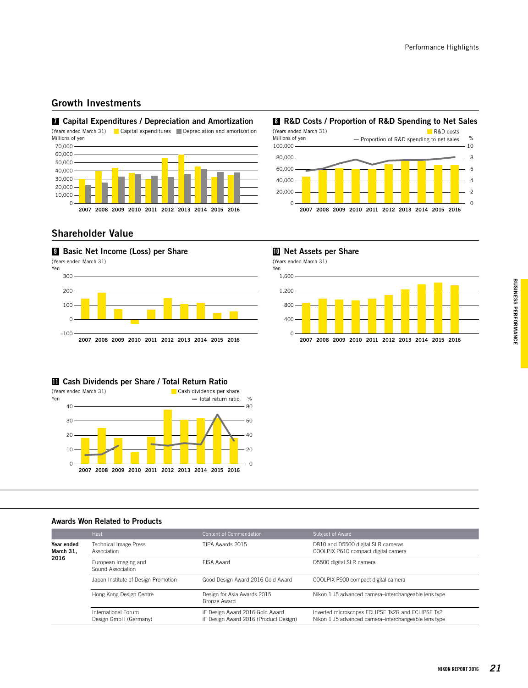R&D costs

# Growth Investments

#### **T** Capital Expenditures / Depreciation and Amortization **7 Capital Expenditures / Depreciation and Amortization 18 R&D Costs / Proportion of R&D Spending to Net Sales**



# Shareholder Value

### **8 Basic Net Income (Loss) per Share that the Communist Communist Communist Communist Communist Communist Communist Communist Communist Communist Communist Communist Communist Communist Communist Communist Communist Commun**





**10** Net Assets per Share



 $\Omega$ 20,000 40,000

100,000

(Years ended March 31)<br>Millions of yen

60,000 80,000



2007 2009 2008 2010 2011 2012 2013 2014 2015 2016

Millions of yen  $\blacksquare$  Proportion of R&D spending to net sales  $\%$ 

### **11** Cash Dividends per Share / Total Return Ratio



#### Awards Won Related to Products

|                                 | <b>Host</b>                                  | Content of Commendation                                                  | Subject of Award                                                                                          |
|---------------------------------|----------------------------------------------|--------------------------------------------------------------------------|-----------------------------------------------------------------------------------------------------------|
| Year ended<br>March 31,<br>2016 | <b>Technical Image Press</b><br>Association  | TIPA Awards 2015                                                         | D810 and D5500 digital SLR cameras<br>COOLPIX P610 compact digital camera                                 |
|                                 | European Imaging and<br>Sound Association    | FISA Award                                                               | D5500 digital SLR camera                                                                                  |
|                                 | Japan Institute of Design Promotion          | Good Design Award 2016 Gold Award                                        | COOLPIX P900 compact digital camera                                                                       |
|                                 | Hong Kong Design Centre                      | Design for Asia Awards 2015<br>Bronze Award                              | Nikon 1 J5 advanced camera–interchangeable lens type                                                      |
|                                 | International Forum<br>Design GmbH (Germany) | iF Design Award 2016 Gold Award<br>iF Design Award 2016 (Product Design) | Inverted microscopes ECLIPSE Ts2R and ECLIPSE Ts2<br>Nikon 1 J5 advanced camera–interchangeable lens type |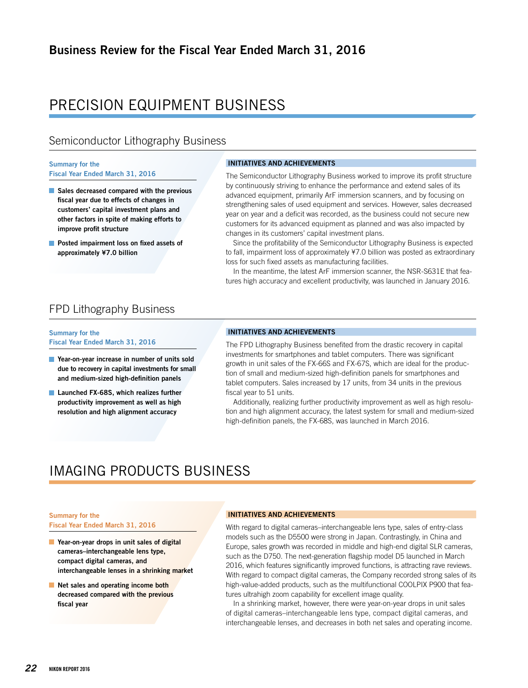# PRECISION EQUIPMENT BUSINESS

# Semiconductor Lithography Business

#### Summary for the Fiscal Year Ended March 31, 2016

- Sales decreased compared with the previous fiscal year due to effects of changes in customers' capital investment plans and other factors in spite of making efforts to improve profit structure
- **Posted impairment loss on fixed assets of** approximately ¥7.0 billion

#### INITIATIVES AND ACHIEVEMENTS

The Semiconductor Lithography Business worked to improve its profit structure by continuously striving to enhance the performance and extend sales of its advanced equipment, primarily ArF immersion scanners, and by focusing on strengthening sales of used equipment and services. However, sales decreased year on year and a deficit was recorded, as the business could not secure new customers for its advanced equipment as planned and was also impacted by changes in its customers' capital investment plans.

Since the profitability of the Semiconductor Lithography Business is expected to fall, impairment loss of approximately ¥7.0 billion was posted as extraordinary loss for such fixed assets as manufacturing facilities.

In the meantime, the latest ArF immersion scanner, the NSR-S631E that features high accuracy and excellent productivity, was launched in January 2016.

# FPD Lithography Business

#### Summary for the Fiscal Year Ended March 31, 2016

- **P** Year-on-year increase in number of units sold due to recovery in capital investments for small and medium-sized high-definition panels
- **Launched FX-68S, which realizes further** productivity improvement as well as high resolution and high alignment accuracy

#### INITIATIVES AND ACHIEVEMENTS

The FPD Lithography Business benefited from the drastic recovery in capital investments for smartphones and tablet computers. There was significant growth in unit sales of the FX-66S and FX-67S, which are ideal for the production of small and medium-sized high-definition panels for smartphones and tablet computers. Sales increased by 17 units, from 34 units in the previous fiscal year to 51 units.

Additionally, realizing further productivity improvement as well as high resolution and high alignment accuracy, the latest system for small and medium-sized high-definition panels, the FX-68S, was launched in March 2016.

# IMAGING PRODUCTS BUSINESS

#### Summary for the Fiscal Year Ended March 31, 2016

- **Par-on-year drops in unit sales of digital** cameras–interchangeable lens type, compact digital cameras, and interchangeable lenses in a shrinking market
- Net sales and operating income both decreased compared with the previous fiscal year

#### INITIATIVES AND ACHIEVEMENTS

With regard to digital cameras–interchangeable lens type, sales of entry-class models such as the D5500 were strong in Japan. Contrastingly, in China and Europe, sales growth was recorded in middle and high-end digital SLR cameras, such as the D750. The next-generation flagship model D5 launched in March 2016, which features significantly improved functions, is attracting rave reviews. With regard to compact digital cameras, the Company recorded strong sales of its high-value-added products, such as the multifunctional COOLPIX P900 that features ultrahigh zoom capability for excellent image quality.

In a shrinking market, however, there were year-on-year drops in unit sales of digital cameras–interchangeable lens type, compact digital cameras, and interchangeable lenses, and decreases in both net sales and operating income.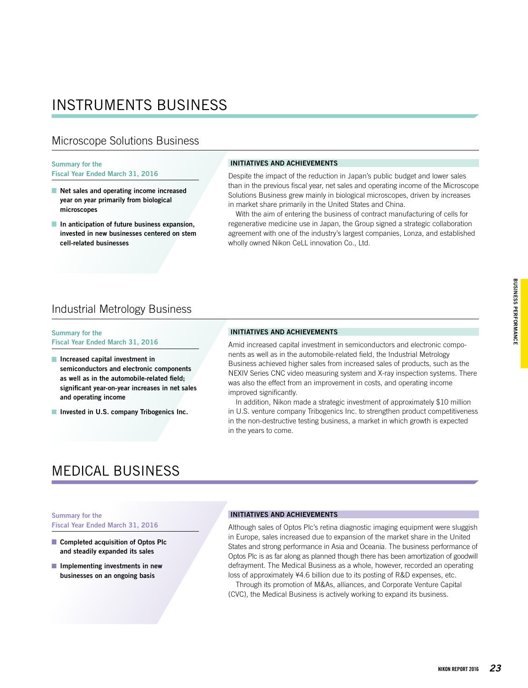# INSTRUMENTS BUSINESS

# Microscope Solutions Business

#### Summary for the Fiscal Year Ended March 31, 2016

- Net sales and operating income increased year on year primarily from biological microscopes
- **In anticipation of future business expansion,** invested in new businesses centered on stem cell-related businesses

#### INITIATIVES AND ACHIEVEMENTS

Despite the impact of the reduction in Japan's public budget and lower sales than in the previous fiscal year, net sales and operating income of the Microscope Solutions Business grew mainly in biological microscopes, driven by increases in market share primarily in the United States and China.

With the aim of entering the business of contract manufacturing of cells for regenerative medicine use in Japan, the Group signed a strategic collaboration agreement with one of the industry's largest companies, Lonza, and established wholly owned Nikon CeLL innovation Co., Ltd.

# Industrial Metrology Business

#### Summary for the Fiscal Year Ended March 31, 2016

- **Increased capital investment in** semiconductors and electronic components as well as in the automobile-related field; significant year-on-year increases in net sales and operating income
- **Invested in U.S. company Tribogenics Inc.**

#### INITIATIVES AND ACHIEVEMENTS

Amid increased capital investment in semiconductors and electronic components as well as in the automobile-related field, the Industrial Metrology Business achieved higher sales from increased sales of products, such as the NEXIV Series CNC video measuring system and X-ray inspection systems. There was also the effect from an improvement in costs, and operating income improved significantly.

In addition, Nikon made a strategic investment of approximately \$10 million in U.S. venture company Tribogenics Inc. to strengthen product competitiveness in the non-destructive testing business, a market in which growth is expected in the years to come.

# MEDICAL BUSINESS

#### Summary for the Fiscal Year Ended March 31, 2016

- 
- Completed acquisition of Optos Plc and steadily expanded its sales
- **Implementing investments in new** businesses on an ongoing basis

#### INITIATIVES AND ACHIEVEMENTS

Although sales of Optos Plc's retina diagnostic imaging equipment were sluggish in Europe, sales increased due to expansion of the market share in the United States and strong performance in Asia and Oceania. The business performance of Optos Plc is as far along as planned though there has been amortization of goodwill defrayment. The Medical Business as a whole, however, recorded an operating loss of approximately ¥4.6 billion due to its posting of R&D expenses, etc.

Through its promotion of M&As, alliances, and Corporate Venture Capital (CVC), the Medical Business is actively working to expand its business.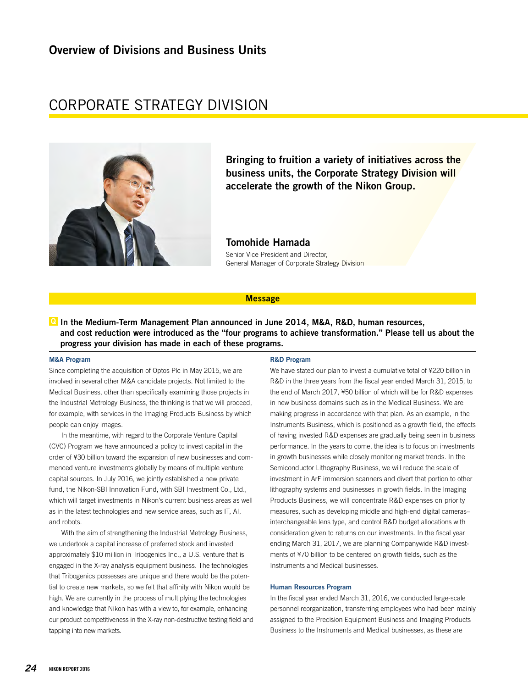# Overview of Divisions and Business Units

# CORPORATE STRATEGY DIVISION



Bringing to fruition a variety of initiatives across the business units, the Corporate Strategy Division will accelerate the growth of the Nikon Group.

# Tomohide Hamada

Senior Vice President and Director, General Manager of Corporate Strategy Division

#### **Message**

**Q** In the Medium-Term Management Plan announced in June 2014, M&A, R&D, human resources, and cost reduction were introduced as the "four programs to achieve transformation." Please tell us about the progress your division has made in each of these programs.

#### M&A Program

Since completing the acquisition of Optos Plc in May 2015, we are involved in several other M&A candidate projects. Not limited to the Medical Business, other than specifically examining those projects in the Industrial Metrology Business, the thinking is that we will proceed, for example, with services in the Imaging Products Business by which people can enjoy images.

In the meantime, with regard to the Corporate Venture Capital (CVC) Program we have announced a policy to invest capital in the order of ¥30 billion toward the expansion of new businesses and commenced venture investments globally by means of multiple venture capital sources. In July 2016, we jointly established a new private fund, the Nikon-SBI Innovation Fund, with SBI Investment Co., Ltd., which will target investments in Nikon's current business areas as well as in the latest technologies and new service areas, such as IT, AI, and robots.

With the aim of strengthening the Industrial Metrology Business, we undertook a capital increase of preferred stock and invested approximately \$10 million in Tribogenics Inc., a U.S. venture that is engaged in the X-ray analysis equipment business. The technologies that Tribogenics possesses are unique and there would be the potential to create new markets, so we felt that affinity with Nikon would be high. We are currently in the process of multiplying the technologies and knowledge that Nikon has with a view to, for example, enhancing our product competitiveness in the X-ray non-destructive testing field and tapping into new markets.

#### R&D Program

We have stated our plan to invest a cumulative total of ¥220 billion in R&D in the three years from the fiscal year ended March 31, 2015, to the end of March 2017, ¥50 billion of which will be for R&D expenses in new business domains such as in the Medical Business. We are making progress in accordance with that plan. As an example, in the Instruments Business, which is positioned as a growth field, the effects of having invested R&D expenses are gradually being seen in business performance. In the years to come, the idea is to focus on investments in growth businesses while closely monitoring market trends. In the Semiconductor Lithography Business, we will reduce the scale of investment in ArF immersion scanners and divert that portion to other lithography systems and businesses in growth fields. In the Imaging Products Business, we will concentrate R&D expenses on priority measures, such as developing middle and high-end digital cameras– interchangeable lens type, and control R&D budget allocations with consideration given to returns on our investments. In the fiscal year ending March 31, 2017, we are planning Companywide R&D investments of ¥70 billion to be centered on growth fields, such as the Instruments and Medical businesses.

#### Human Resources Program

In the fiscal year ended March 31, 2016, we conducted large-scale personnel reorganization, transferring employees who had been mainly assigned to the Precision Equipment Business and Imaging Products Business to the Instruments and Medical businesses, as these are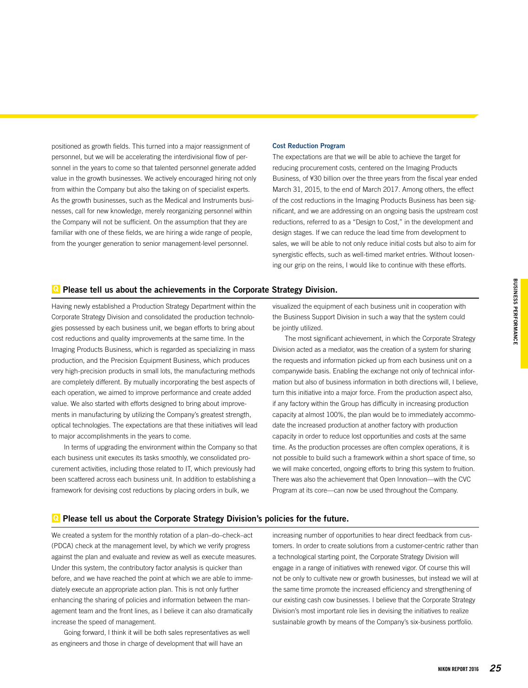positioned as growth fields. This turned into a major reassignment of personnel, but we will be accelerating the interdivisional flow of personnel in the years to come so that talented personnel generate added value in the growth businesses. We actively encouraged hiring not only from within the Company but also the taking on of specialist experts. As the growth businesses, such as the Medical and Instruments businesses, call for new knowledge, merely reorganizing personnel within the Company will not be sufficient. On the assumption that they are familiar with one of these fields, we are hiring a wide range of people, from the younger generation to senior management-level personnel.

#### Cost Reduction Program

The expectations are that we will be able to achieve the target for reducing procurement costs, centered on the Imaging Products Business, of ¥30 billion over the three years from the fiscal year ended March 31, 2015, to the end of March 2017. Among others, the effect of the cost reductions in the Imaging Products Business has been significant, and we are addressing on an ongoing basis the upstream cost reductions, referred to as a "Design to Cost," in the development and design stages. If we can reduce the lead time from development to sales, we will be able to not only reduce initial costs but also to aim for synergistic effects, such as well-timed market entries. Without loosening our grip on the reins, I would like to continue with these efforts.

#### **Q** Please tell us about the achievements in the Corporate Strategy Division.

Having newly established a Production Strategy Department within the Corporate Strategy Division and consolidated the production technologies possessed by each business unit, we began efforts to bring about cost reductions and quality improvements at the same time. In the Imaging Products Business, which is regarded as specializing in mass production, and the Precision Equipment Business, which produces very high-precision products in small lots, the manufacturing methods are completely different. By mutually incorporating the best aspects of each operation, we aimed to improve performance and create added value. We also started with efforts designed to bring about improvements in manufacturing by utilizing the Company's greatest strength, optical technologies. The expectations are that these initiatives will lead to major accomplishments in the years to come.

In terms of upgrading the environment within the Company so that each business unit executes its tasks smoothly, we consolidated procurement activities, including those related to IT, which previously had been scattered across each business unit. In addition to establishing a framework for devising cost reductions by placing orders in bulk, we

visualized the equipment of each business unit in cooperation with the Business Support Division in such a way that the system could be jointly utilized.

The most significant achievement, in which the Corporate Strategy Division acted as a mediator, was the creation of a system for sharing the requests and information picked up from each business unit on a companywide basis. Enabling the exchange not only of technical information but also of business information in both directions will, I believe, turn this initiative into a major force. From the production aspect also, if any factory within the Group has difficulty in increasing production capacity at almost 100%, the plan would be to immediately accommodate the increased production at another factory with production capacity in order to reduce lost opportunities and costs at the same time. As the production processes are often complex operations, it is not possible to build such a framework within a short space of time, so we will make concerted, ongoing efforts to bring this system to fruition. There was also the achievement that Open Innovation—with the CVC Program at its core—can now be used throughout the Company.

#### Please tell us about the Corporate Strategy Division's policies for the future.

We created a system for the monthly rotation of a plan–do–check–act (PDCA) check at the management level, by which we verify progress against the plan and evaluate and review as well as execute measures. Under this system, the contributory factor analysis is quicker than before, and we have reached the point at which we are able to immediately execute an appropriate action plan. This is not only further enhancing the sharing of policies and information between the management team and the front lines, as I believe it can also dramatically increase the speed of management.

Going forward, I think it will be both sales representatives as well as engineers and those in charge of development that will have an

increasing number of opportunities to hear direct feedback from customers. In order to create solutions from a customer-centric rather than a technological starting point, the Corporate Strategy Division will engage in a range of initiatives with renewed vigor. Of course this will not be only to cultivate new or growth businesses, but instead we will at the same time promote the increased efficiency and strengthening of our existing cash cow businesses. I believe that the Corporate Strategy Division's most important role lies in devising the initiatives to realize sustainable growth by means of the Company's six-business portfolio.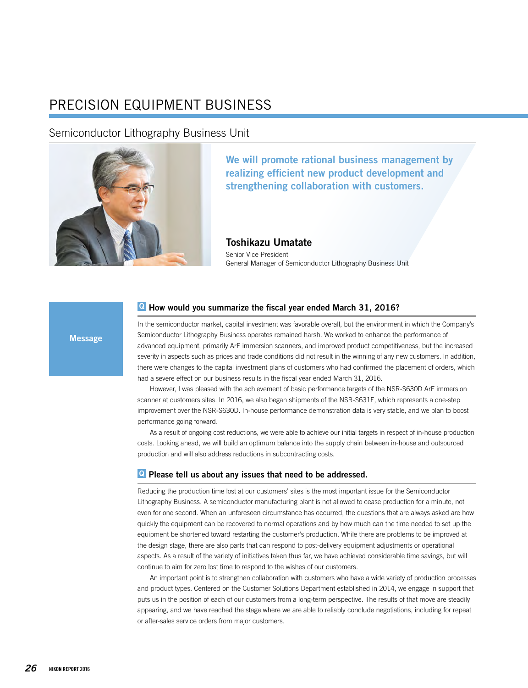# PRECISION EQUIPMENT BUSINESS

# Semiconductor Lithography Business Unit



We will promote rational business management by realizing efficient new product development and strengthening collaboration with customers.

## Toshikazu Umatate

Senior Vice President General Manager of Semiconductor Lithography Business Unit

#### **Q** How would you summarize the fiscal year ended March 31, 2016?

**Message** 

In the semiconductor market, capital investment was favorable overall, but the environment in which the Company's Semiconductor Lithography Business operates remained harsh. We worked to enhance the performance of advanced equipment, primarily ArF immersion scanners, and improved product competitiveness, but the increased severity in aspects such as prices and trade conditions did not result in the winning of any new customers. In addition, there were changes to the capital investment plans of customers who had confirmed the placement of orders, which had a severe effect on our business results in the fiscal year ended March 31, 2016.

However, I was pleased with the achievement of basic performance targets of the NSR-S630D ArF immersion scanner at customers sites. In 2016, we also began shipments of the NSR-S631E, which represents a one-step improvement over the NSR-S630D. In-house performance demonstration data is very stable, and we plan to boost performance going forward.

As a result of ongoing cost reductions, we were able to achieve our initial targets in respect of in-house production costs. Looking ahead, we will build an optimum balance into the supply chain between in-house and outsourced production and will also address reductions in subcontracting costs.

#### **Q** Please tell us about any issues that need to be addressed.

Reducing the production time lost at our customers' sites is the most important issue for the Semiconductor Lithography Business. A semiconductor manufacturing plant is not allowed to cease production for a minute, not even for one second. When an unforeseen circumstance has occurred, the questions that are always asked are how quickly the equipment can be recovered to normal operations and by how much can the time needed to set up the equipment be shortened toward restarting the customer's production. While there are problems to be improved at the design stage, there are also parts that can respond to post-delivery equipment adjustments or operational aspects. As a result of the variety of initiatives taken thus far, we have achieved considerable time savings, but will continue to aim for zero lost time to respond to the wishes of our customers.

An important point is to strengthen collaboration with customers who have a wide variety of production processes and product types. Centered on the Customer Solutions Department established in 2014, we engage in support that puts us in the position of each of our customers from a long-term perspective. The results of that move are steadily appearing, and we have reached the stage where we are able to reliably conclude negotiations, including for repeat or after-sales service orders from major customers.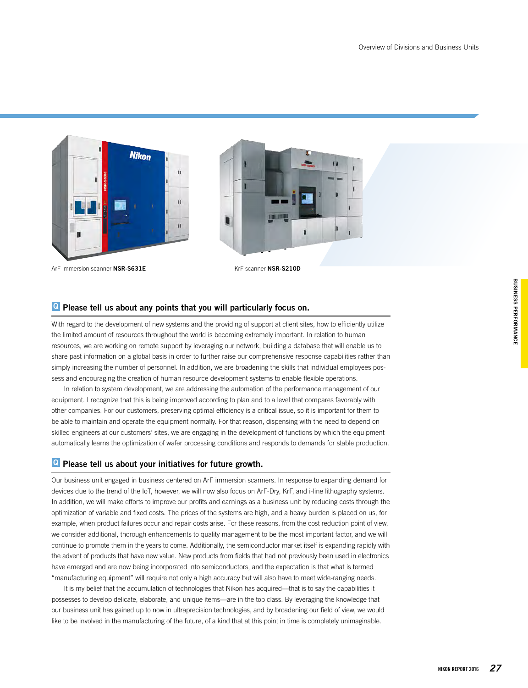



ArF immersion scanner **NSR-S631E** KrF scanner **NSR-S210D** 

### **Q** Please tell us about any points that you will particularly focus on.

With regard to the development of new systems and the providing of support at client sites, how to efficiently utilize the limited amount of resources throughout the world is becoming extremely important. In relation to human resources, we are working on remote support by leveraging our network, building a database that will enable us to share past information on a global basis in order to further raise our comprehensive response capabilities rather than simply increasing the number of personnel. In addition, we are broadening the skills that individual employees possess and encouraging the creation of human resource development systems to enable flexible operations.

In relation to system development, we are addressing the automation of the performance management of our equipment. I recognize that this is being improved according to plan and to a level that compares favorably with other companies. For our customers, preserving optimal efficiency is a critical issue, so it is important for them to be able to maintain and operate the equipment normally. For that reason, dispensing with the need to depend on skilled engineers at our customers' sites, we are engaging in the development of functions by which the equipment automatically learns the optimization of wafer processing conditions and responds to demands for stable production.

### **Q** Please tell us about your initiatives for future growth.

Our business unit engaged in business centered on ArF immersion scanners. In response to expanding demand for devices due to the trend of the IoT, however, we will now also focus on ArF-Dry, KrF, and i-line lithography systems. In addition, we will make efforts to improve our profits and earnings as a business unit by reducing costs through the optimization of variable and fixed costs. The prices of the systems are high, and a heavy burden is placed on us, for example, when product failures occur and repair costs arise. For these reasons, from the cost reduction point of view, we consider additional, thorough enhancements to quality management to be the most important factor, and we will continue to promote them in the years to come. Additionally, the semiconductor market itself is expanding rapidly with the advent of products that have new value. New products from fields that had not previously been used in electronics have emerged and are now being incorporated into semiconductors, and the expectation is that what is termed "manufacturing equipment" will require not only a high accuracy but will also have to meet wide-ranging needs.

It is my belief that the accumulation of technologies that Nikon has acquired—that is to say the capabilities it possesses to develop delicate, elaborate, and unique items—are in the top class. By leveraging the knowledge that our business unit has gained up to now in ultraprecision technologies, and by broadening our field of view, we would like to be involved in the manufacturing of the future, of a kind that at this point in time is completely unimaginable.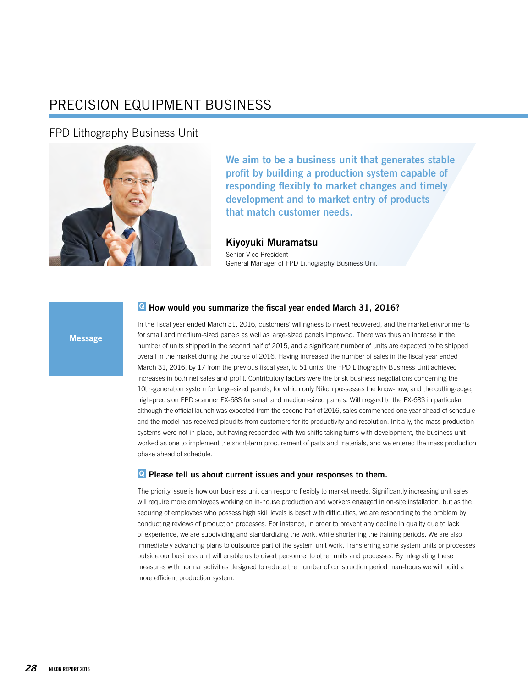# PRECISION EQUIPMENT BUSINESS

# FPD Lithography Business Unit



We aim to be a business unit that generates stable profit by building a production system capable of responding flexibly to market changes and timely development and to market entry of products that match customer needs.

### Kiyoyuki Muramatsu

Senior Vice President General Manager of FPD Lithography Business Unit

#### Q How would you summarize the fiscal year ended March 31, 2016?

**Message** 

In the fiscal year ended March 31, 2016, customers' willingness to invest recovered, and the market environments for small and medium-sized panels as well as large-sized panels improved. There was thus an increase in the number of units shipped in the second half of 2015, and a significant number of units are expected to be shipped overall in the market during the course of 2016. Having increased the number of sales in the fiscal year ended March 31, 2016, by 17 from the previous fiscal year, to 51 units, the FPD Lithography Business Unit achieved increases in both net sales and profit. Contributory factors were the brisk business negotiations concerning the 10th-generation system for large-sized panels, for which only Nikon possesses the know-how, and the cutting-edge, high-precision FPD scanner FX-68S for small and medium-sized panels. With regard to the FX-68S in particular, although the official launch was expected from the second half of 2016, sales commenced one year ahead of schedule and the model has received plaudits from customers for its productivity and resolution. Initially, the mass production systems were not in place, but having responded with two shifts taking turns with development, the business unit worked as one to implement the short-term procurement of parts and materials, and we entered the mass production phase ahead of schedule.

### **Q** Please tell us about current issues and your responses to them.

The priority issue is how our business unit can respond flexibly to market needs. Significantly increasing unit sales will require more employees working on in-house production and workers engaged in on-site installation, but as the securing of employees who possess high skill levels is beset with difficulties, we are responding to the problem by conducting reviews of production processes. For instance, in order to prevent any decline in quality due to lack of experience, we are subdividing and standardizing the work, while shortening the training periods. We are also immediately advancing plans to outsource part of the system unit work. Transferring some system units or processes outside our business unit will enable us to divert personnel to other units and processes. By integrating these measures with normal activities designed to reduce the number of construction period man-hours we will build a more efficient production system.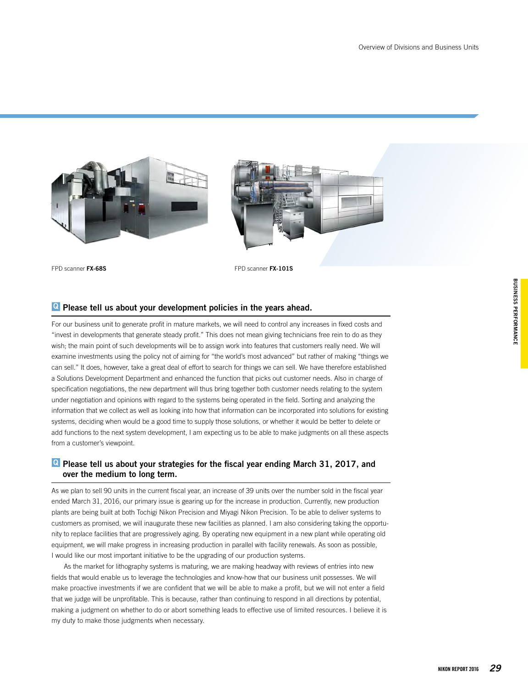

FPD scanner **FX-68S** FPD scanner **FX-101S** 

#### **Q** Please tell us about your development policies in the years ahead.

For our business unit to generate profit in mature markets, we will need to control any increases in fixed costs and "invest in developments that generate steady profit." This does not mean giving technicians free rein to do as they wish; the main point of such developments will be to assign work into features that customers really need. We will examine investments using the policy not of aiming for "the world's most advanced" but rather of making "things we can sell." It does, however, take a great deal of effort to search for things we can sell. We have therefore established a Solutions Development Department and enhanced the function that picks out customer needs. Also in charge of specification negotiations, the new department will thus bring together both customer needs relating to the system under negotiation and opinions with regard to the systems being operated in the field. Sorting and analyzing the information that we collect as well as looking into how that information can be incorporated into solutions for existing systems, deciding when would be a good time to supply those solutions, or whether it would be better to delete or add functions to the next system development, I am expecting us to be able to make judgments on all these aspects from a customer's viewpoint.

### Q Please tell us about your strategies for the fiscal year ending March 31, 2017, and over the medium to long term.

As we plan to sell 90 units in the current fiscal year, an increase of 39 units over the number sold in the fiscal year ended March 31, 2016, our primary issue is gearing up for the increase in production. Currently, new production plants are being built at both Tochigi Nikon Precision and Miyagi Nikon Precision. To be able to deliver systems to customers as promised, we will inaugurate these new facilities as planned. I am also considering taking the opportunity to replace facilities that are progressively aging. By operating new equipment in a new plant while operating old equipment, we will make progress in increasing production in parallel with facility renewals. As soon as possible, I would like our most important initiative to be the upgrading of our production systems.

As the market for lithography systems is maturing, we are making headway with reviews of entries into new fields that would enable us to leverage the technologies and know-how that our business unit possesses. We will make proactive investments if we are confident that we will be able to make a profit, but we will not enter a field that we judge will be unprofitable. This is because, rather than continuing to respond in all directions by potential, making a judgment on whether to do or abort something leads to effective use of limited resources. I believe it is my duty to make those judgments when necessary.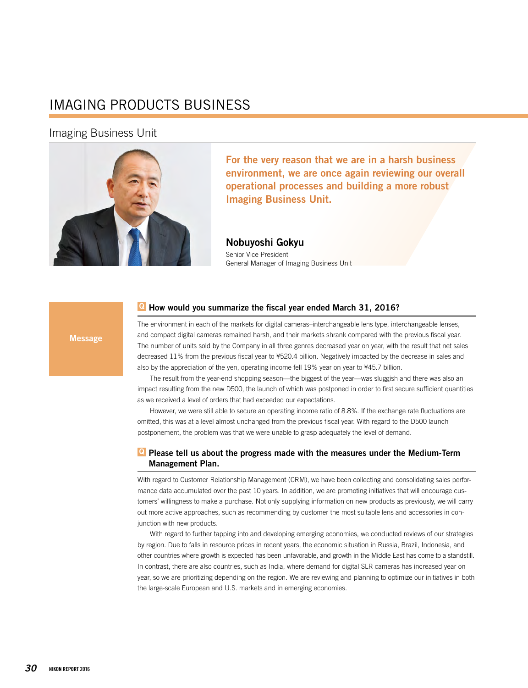# IMAGING PRODUCTS BUSINESS

# Imaging Business Unit



For the very reason that we are in a harsh business environment, we are once again reviewing our overall operational processes and building a more robust Imaging Business Unit.

### Nobuyoshi Gokyu Senior Vice President

General Manager of Imaging Business Unit

#### **Q** How would you summarize the fiscal year ended March 31, 2016?

**Message** 

The environment in each of the markets for digital cameras–interchangeable lens type, interchangeable lenses, and compact digital cameras remained harsh, and their markets shrank compared with the previous fiscal year. The number of units sold by the Company in all three genres decreased year on year, with the result that net sales decreased 11% from the previous fiscal year to ¥520.4 billion. Negatively impacted by the decrease in sales and also by the appreciation of the yen, operating income fell 19% year on year to ¥45.7 billion.

The result from the year-end shopping season—the biggest of the year—was sluggish and there was also an impact resulting from the new D500, the launch of which was postponed in order to first secure sufficient quantities as we received a level of orders that had exceeded our expectations.

However, we were still able to secure an operating income ratio of 8.8%. If the exchange rate fluctuations are omitted, this was at a level almost unchanged from the previous fiscal year. With regard to the D500 launch postponement, the problem was that we were unable to grasp adequately the level of demand.

#### **Q** Please tell us about the progress made with the measures under the Medium-Term Management Plan.

With regard to Customer Relationship Management (CRM), we have been collecting and consolidating sales performance data accumulated over the past 10 years. In addition, we are promoting initiatives that will encourage customers' willingness to make a purchase. Not only supplying information on new products as previously, we will carry out more active approaches, such as recommending by customer the most suitable lens and accessories in conjunction with new products.

With regard to further tapping into and developing emerging economies, we conducted reviews of our strategies by region. Due to falls in resource prices in recent years, the economic situation in Russia, Brazil, Indonesia, and other countries where growth is expected has been unfavorable, and growth in the Middle East has come to a standstill. In contrast, there are also countries, such as India, where demand for digital SLR cameras has increased year on year, so we are prioritizing depending on the region. We are reviewing and planning to optimize our initiatives in both the large-scale European and U.S. markets and in emerging economies.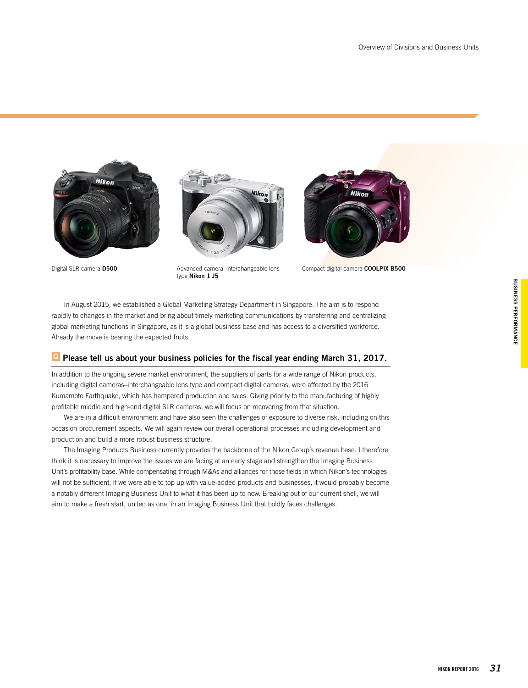





Digital SLR camera **D500** Advanced camera–interchangeable lens type Nikon 1 J5

Compact digital camera COOLPIX B500

In August 2015, we established a Global Marketing Strategy Department in Singapore. The aim is to respond rapidly to changes in the market and bring about timely marketing communications by transferring and centralizing global marketing functions in Singapore, as it is a global business base and has access to a diversified workforce. Already the move is bearing the expected fruits.

## **Q** Please tell us about your business policies for the fiscal year ending March 31, 2017.

In addition to the ongoing severe market environment, the suppliers of parts for a wide range of Nikon products, including digital cameras–interchangeable lens type and compact digital cameras, were affected by the 2016 Kumamoto Earthquake, which has hampered production and sales. Giving priority to the manufacturing of highly profitable middle and high-end digital SLR cameras, we will focus on recovering from that situation.

We are in a difficult environment and have also seen the challenges of exposure to diverse risk, including on this occasion procurement aspects. We will again review our overall operational processes including development and production and build a more robust business structure.

The Imaging Products Business currently provides the backbone of the Nikon Group's revenue base. I therefore think it is necessary to improve the issues we are facing at an early stage and strengthen the Imaging Business Unit's profitability base. While compensating through M&As and alliances for those fields in which Nikon's technologies will not be sufficient, if we were able to top up with value-added products and businesses, it would probably become a notably different Imaging Business Unit to what it has been up to now. Breaking out of our current shell, we will aim to make a fresh start, united as one, in an Imaging Business Unit that boldly faces challenges.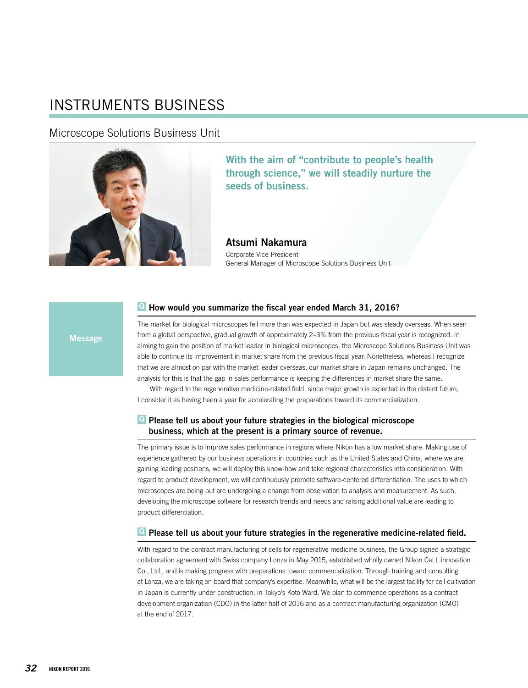# INSTRUMENTS BUSINESS

# Microscope Solutions Business Unit



With the aim of "contribute to people's health through science," we will steadily nurture the seeds of business.

# Atsumi Nakamura

Corporate Vice President General Manager of Microscope Solutions Business Unit

#### Q How would you summarize the fiscal year ended March 31, 2016?

**Message** 

The market for biological microscopes fell more than was expected in Japan but was steady overseas. When seen from a global perspective, gradual growth of approximately 2–3% from the previous fiscal year is recognized. In aiming to gain the position of market leader in biological microscopes, the Microscope Solutions Business Unit was able to continue its improvement in market share from the previous fiscal year. Nonetheless, whereas I recognize that we are almost on par with the market leader overseas, our market share in Japan remains unchanged. The analysis for this is that the gap in sales performance is keeping the differences in market share the same.

With regard to the regenerative medicine-related field, since major growth is expected in the distant future, I consider it as having been a year for accelerating the preparations toward its commercialization.

#### Please tell us about your future strategies in the biological microscope business, which at the present is a primary source of revenue.

The primary issue is to improve sales performance in regions where Nikon has a low market share. Making use of experience gathered by our business operations in countries such as the United States and China, where we are gaining leading positions, we will deploy this know-how and take regional characteristics into consideration. With regard to product development, we will continuously promote software-centered differentiation. The uses to which microscopes are being put are undergoing a change from observation to analysis and measurement. As such, developing the microscope software for research trends and needs and raising additional value are leading to product differentiation.

#### Q Please tell us about your future strategies in the regenerative medicine-related field.

With regard to the contract manufacturing of cells for regenerative medicine business, the Group signed a strategic collaboration agreement with Swiss company Lonza in May 2015, established wholly owned Nikon CeLL innovation Co., Ltd., and is making progress with preparations toward commercialization. Through training and consulting at Lonza, we are taking on board that company's expertise. Meanwhile, what will be the largest facility for cell cultivation in Japan is currently under construction, in Tokyo's Koto Ward. We plan to commence operations as a contract development organization (CDO) in the latter half of 2016 and as a contract manufacturing organization (CMO) at the end of 2017.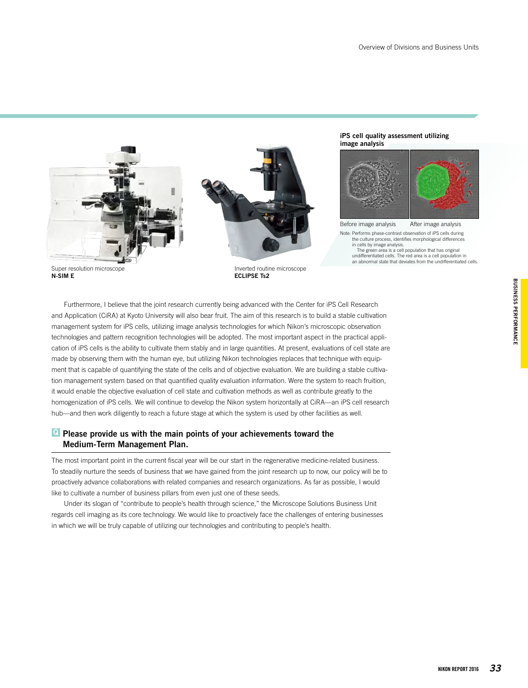

iPS cell quality assessment utilizing image analysis



Before image analysis After image analysis Note: Performs phase-contrast observation of iPS cells during the culture process, identifies morphological differences in cells by image analysis. The green area is a cell population that has original

undifferentiated cells. The red area is a cell population in an abnormal state that deviates from the undifferentiated cells.

Super resolution microscope N-SIM E

Inverted routine microscope ECLIPSE Ts2

Furthermore, I believe that the joint research currently being advanced with the Center for iPS Cell Research and Application (CiRA) at Kyoto University will also bear fruit. The aim of this research is to build a stable cultivation management system for iPS cells, utilizing image analysis technologies for which Nikon's microscopic observation technologies and pattern recognition technologies will be adopted. The most important aspect in the practical application of iPS cells is the ability to cultivate them stably and in large quantities. At present, evaluations of cell state are made by observing them with the human eye, but utilizing Nikon technologies replaces that technique with equipment that is capable of quantifying the state of the cells and of objective evaluation. We are building a stable cultivation management system based on that quantified quality evaluation information. Were the system to reach fruition, it would enable the objective evaluation of cell state and cultivation methods as well as contribute greatly to the homogenization of iPS cells. We will continue to develop the Nikon system horizontally at CiRA—an iPS cell research hub—and then work diligently to reach a future stage at which the system is used by other facilities as well.

#### **Q** Please provide us with the main points of your achievements toward the Medium-Term Management Plan.

The most important point in the current fiscal year will be our start in the regenerative medicine-related business. To steadily nurture the seeds of business that we have gained from the joint research up to now, our policy will be to proactively advance collaborations with related companies and research organizations. As far as possible, I would like to cultivate a number of business pillars from even just one of these seeds.

Under its slogan of "contribute to people's health through science," the Microscope Solutions Business Unit regards cell imaging as its core technology. We would like to proactively face the challenges of entering businesses in which we will be truly capable of utilizing our technologies and contributing to people's health.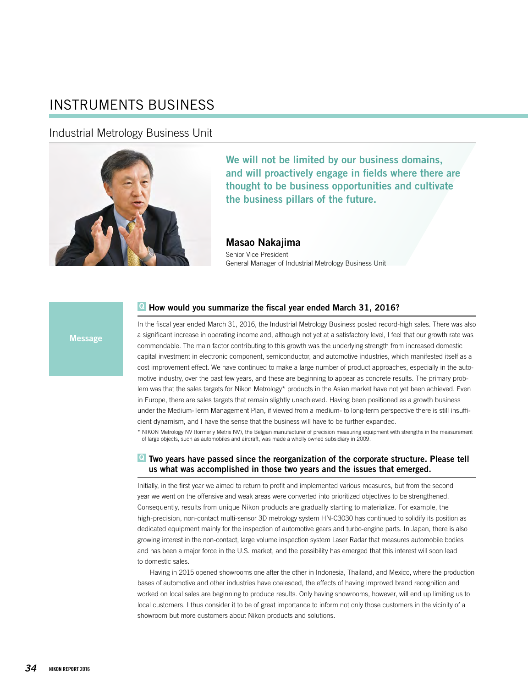# INSTRUMENTS BUSINESS

# Industrial Metrology Business Unit



We will not be limited by our business domains, and will proactively engage in fields where there are thought to be business opportunities and cultivate the business pillars of the future.

## Masao Nakajima

Senior Vice President General Manager of Industrial Metrology Business Unit

#### Q How would you summarize the fiscal year ended March 31, 2016?

**Message** 

In the fiscal year ended March 31, 2016, the Industrial Metrology Business posted record-high sales. There was also a significant increase in operating income and, although not yet at a satisfactory level, I feel that our growth rate was commendable. The main factor contributing to this growth was the underlying strength from increased domestic capital investment in electronic component, semiconductor, and automotive industries, which manifested itself as a cost improvement effect. We have continued to make a large number of product approaches, especially in the automotive industry, over the past few years, and these are beginning to appear as concrete results. The primary problem was that the sales targets for Nikon Metrology\* products in the Asian market have not yet been achieved. Even in Europe, there are sales targets that remain slightly unachieved. Having been positioned as a growth business under the Medium-Term Management Plan, if viewed from a medium- to long-term perspective there is still insufficient dynamism, and I have the sense that the business will have to be further expanded.

\* NIKON Metrology NV (formerly Metris NV), the Belgian manufacturer of precision measuring equipment with strengths in the measurement of large objects, such as automobiles and aircraft, was made a wholly owned subsidiary in 2009.

#### Q Two years have passed since the reorganization of the corporate structure. Please tell us what was accomplished in those two years and the issues that emerged.

Initially, in the first year we aimed to return to profit and implemented various measures, but from the second year we went on the offensive and weak areas were converted into prioritized objectives to be strengthened. Consequently, results from unique Nikon products are gradually starting to materialize. For example, the high-precision, non-contact multi-sensor 3D metrology system HN-C3030 has continued to solidify its position as dedicated equipment mainly for the inspection of automotive gears and turbo-engine parts. In Japan, there is also growing interest in the non-contact, large volume inspection system Laser Radar that measures automobile bodies and has been a major force in the U.S. market, and the possibility has emerged that this interest will soon lead to domestic sales.

Having in 2015 opened showrooms one after the other in Indonesia, Thailand, and Mexico, where the production bases of automotive and other industries have coalesced, the effects of having improved brand recognition and worked on local sales are beginning to produce results. Only having showrooms, however, will end up limiting us to local customers. I thus consider it to be of great importance to inform not only those customers in the vicinity of a showroom but more customers about Nikon products and solutions.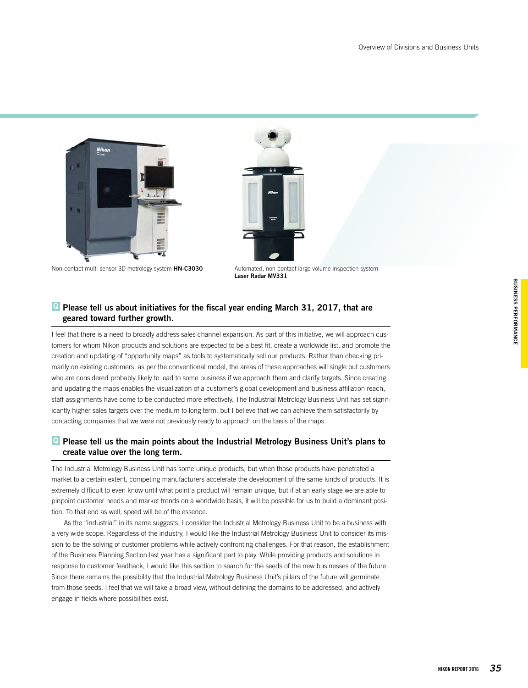

Non-contact multi-sensor 3D metrology system **HN-C3030** Automated, non-contact large volume inspection system



Laser Radar MV331

### **Q** Please tell us about initiatives for the fiscal year ending March 31, 2017, that are geared toward further growth.

I feel that there is a need to broadly address sales channel expansion. As part of this initiative, we will approach customers for whom Nikon products and solutions are expected to be a best fit, create a worldwide list, and promote the creation and updating of "opportunity maps" as tools to systematically sell our products. Rather than checking primarily on existing customers, as per the conventional model, the areas of these approaches will single out customers who are considered probably likely to lead to some business if we approach them and clarify targets. Since creating and updating the maps enables the visualization of a customer's global development and business affiliation reach, staff assignments have come to be conducted more effectively. The Industrial Metrology Business Unit has set significantly higher sales targets over the medium to long term, but I believe that we can achieve them satisfactorily by contacting companies that we were not previously ready to approach on the basis of the maps.

#### Q Please tell us the main points about the Industrial Metrology Business Unit's plans to create value over the long term.

The Industrial Metrology Business Unit has some unique products, but when those products have penetrated a market to a certain extent, competing manufacturers accelerate the development of the same kinds of products. It is extremely difficult to even know until what point a product will remain unique, but if at an early stage we are able to pinpoint customer needs and market trends on a worldwide basis, it will be possible for us to build a dominant position. To that end as well, speed will be of the essence.

As the "industrial" in its name suggests, I consider the Industrial Metrology Business Unit to be a business with a very wide scope. Regardless of the industry, I would like the Industrial Metrology Business Unit to consider its mission to be the solving of customer problems while actively confronting challenges. For that reason, the establishment of the Business Planning Section last year has a significant part to play. While providing products and solutions in response to customer feedback, I would like this section to search for the seeds of the new businesses of the future. Since there remains the possibility that the Industrial Metrology Business Unit's pillars of the future will germinate from those seeds, I feel that we will take a broad view, without defining the domains to be addressed, and actively engage in fields where possibilities exist.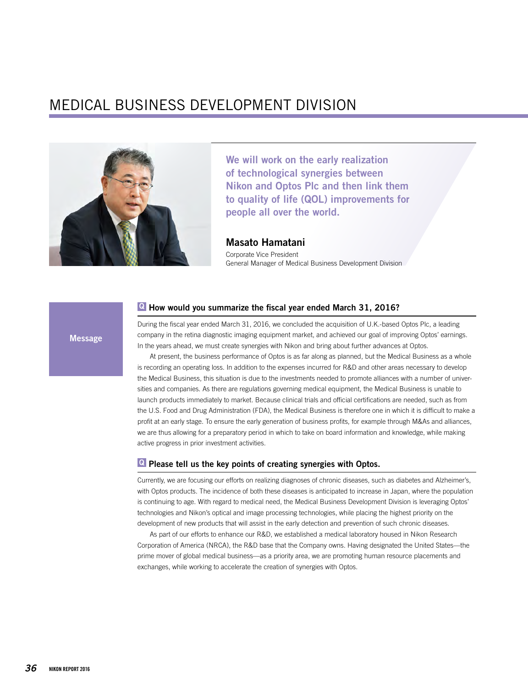# MEDICAL BUSINESS DEVELOPMENT DIVISION



We will work on the early realization of technological synergies between Nikon and Optos Plc and then link them to quality of life (QOL) improvements for people all over the world.

## Masato Hamatani

Corporate Vice President General Manager of Medical Business Development Division

#### Q How would you summarize the fiscal year ended March 31, 2016?

**Message** 

During the fiscal year ended March 31, 2016, we concluded the acquisition of U.K.-based Optos Plc, a leading company in the retina diagnostic imaging equipment market, and achieved our goal of improving Optos' earnings. In the years ahead, we must create synergies with Nikon and bring about further advances at Optos.

At present, the business performance of Optos is as far along as planned, but the Medical Business as a whole is recording an operating loss. In addition to the expenses incurred for R&D and other areas necessary to develop the Medical Business, this situation is due to the investments needed to promote alliances with a number of universities and companies. As there are regulations governing medical equipment, the Medical Business is unable to launch products immediately to market. Because clinical trials and official certifications are needed, such as from the U.S. Food and Drug Administration (FDA), the Medical Business is therefore one in which it is difficult to make a profit at an early stage. To ensure the early generation of business profits, for example through M&As and alliances, we are thus allowing for a preparatory period in which to take on board information and knowledge, while making active progress in prior investment activities.

#### **Q** Please tell us the key points of creating synergies with Optos.

Currently, we are focusing our efforts on realizing diagnoses of chronic diseases, such as diabetes and Alzheimer's, with Optos products. The incidence of both these diseases is anticipated to increase in Japan, where the population is continuing to age. With regard to medical need, the Medical Business Development Division is leveraging Optos' technologies and Nikon's optical and image processing technologies, while placing the highest priority on the development of new products that will assist in the early detection and prevention of such chronic diseases.

As part of our efforts to enhance our R&D, we established a medical laboratory housed in Nikon Research Corporation of America (NRCA), the R&D base that the Company owns. Having designated the United States—the prime mover of global medical business—as a priority area, we are promoting human resource placements and exchanges, while working to accelerate the creation of synergies with Optos.